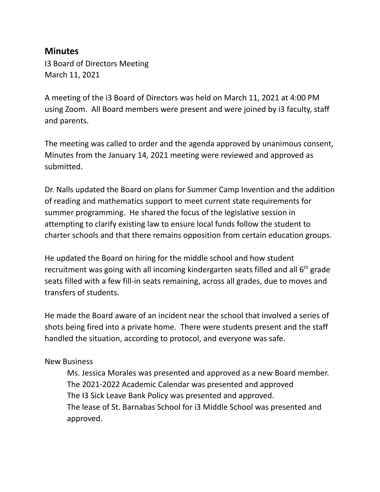## **Minutes**

I3 Board of Directors Meeting March 11, 2021

A meeting of the i3 Board of Directors was held on March 11, 2021 at 4:00 PM using Zoom. All Board members were present and were joined by i3 faculty, staff and parents.

The meeting was called to order and the agenda approved by unanimous consent, Minutes from the January 14, 2021 meeting were reviewed and approved as submitted.

Dr. Nalls updated the Board on plans for Summer Camp Invention and the addition of reading and mathematics support to meet current state requirements for summer programming. He shared the focus of the legislative session in attempting to clarify existing law to ensure local funds follow the student to charter schools and that there remains opposition from certain education groups.

He updated the Board on hiring for the middle school and how student recruitment was going with all incoming kindergarten seats filled and all  $6<sup>th</sup>$  grade seats filled with a few fill-in seats remaining, across all grades, due to moves and transfers of students.

He made the Board aware of an incident near the school that involved a series of shots being fired into a private home. There were students present and the staff handled the situation, according to protocol, and everyone was safe.

## New Business

Ms. Jessica Morales was presented and approved as a new Board member. The 2021-2022 Academic Calendar was presented and approved The I3 Sick Leave Bank Policy was presented and approved. The lease of St. Barnabas School for i3 Middle School was presented and approved.